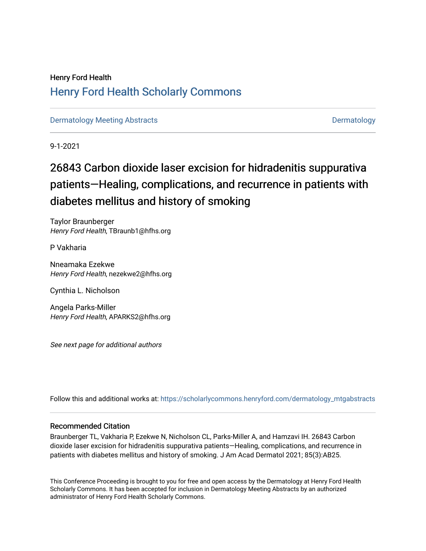## Henry Ford Health [Henry Ford Health Scholarly Commons](https://scholarlycommons.henryford.com/)

[Dermatology Meeting Abstracts](https://scholarlycommons.henryford.com/dermatology_mtgabstracts) **[Dermatology](https://scholarlycommons.henryford.com/dermatology) Meeting Abstracts** Dermatology

9-1-2021

# 26843 Carbon dioxide laser excision for hidradenitis suppurativa patients—Healing, complications, and recurrence in patients with diabetes mellitus and history of smoking

Taylor Braunberger Henry Ford Health, TBraunb1@hfhs.org

P Vakharia

Nneamaka Ezekwe Henry Ford Health, nezekwe2@hfhs.org

Cynthia L. Nicholson

Angela Parks-Miller Henry Ford Health, APARKS2@hfhs.org

See next page for additional authors

Follow this and additional works at: [https://scholarlycommons.henryford.com/dermatology\\_mtgabstracts](https://scholarlycommons.henryford.com/dermatology_mtgabstracts?utm_source=scholarlycommons.henryford.com%2Fdermatology_mtgabstracts%2F164&utm_medium=PDF&utm_campaign=PDFCoverPages) 

### Recommended Citation

Braunberger TL, Vakharia P, Ezekwe N, Nicholson CL, Parks-Miller A, and Hamzavi IH. 26843 Carbon dioxide laser excision for hidradenitis suppurativa patients—Healing, complications, and recurrence in patients with diabetes mellitus and history of smoking. J Am Acad Dermatol 2021; 85(3):AB25.

This Conference Proceeding is brought to you for free and open access by the Dermatology at Henry Ford Health Scholarly Commons. It has been accepted for inclusion in Dermatology Meeting Abstracts by an authorized administrator of Henry Ford Health Scholarly Commons.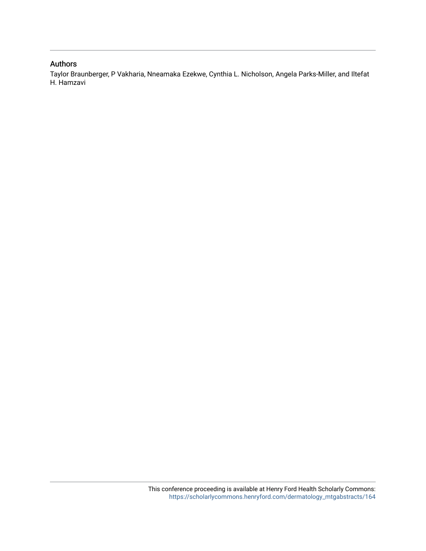## Authors

Taylor Braunberger, P Vakharia, Nneamaka Ezekwe, Cynthia L. Nicholson, Angela Parks-Miller, and Iltefat H. Hamzavi